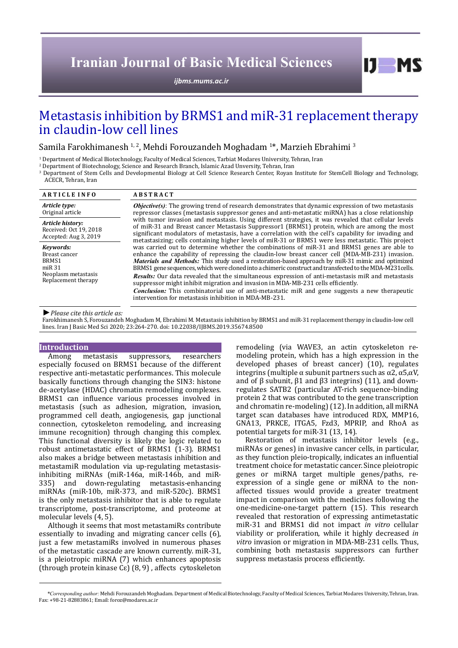# **Iranian Journal of Basic Medical Sciences**

*[ijbms.mums.ac.ir](http://ijbms.mums.ac.ir)*

# Metastasis inhibition by BRMS1 and miR-31 replacement therapy in claudin-low cell lines

Samila Farokhimanesh 1,2, Mehdi Forouzandeh Moghadam 1\*, Marzieh Ebrahimi 3

1 Department of Medical Biotechnology, Faculty of Medical Sciences, Tarbiat Modares University, Tehran, Iran

2 Department of Biotechnology, Science and Research Branch, Islamic Azad Unversity, Tehran, Iran

3 Department of Stem Cells and Developmental Biology at Cell Science Research Center, Royan Institute for StemCell Biology and Technology, ACECR, Tehran, Iran

| <b>ARTICLE INFO</b>                                                                            | <b>ABSTRACT</b>                                                                                                                                                                                                                                                                                                                                                                                                                                                                                                                                                                                                                                                                                                                                                                                                                                                                                                                                                                                                                                                                                                                                                                                                                                                                                                                                                                                                            |
|------------------------------------------------------------------------------------------------|----------------------------------------------------------------------------------------------------------------------------------------------------------------------------------------------------------------------------------------------------------------------------------------------------------------------------------------------------------------------------------------------------------------------------------------------------------------------------------------------------------------------------------------------------------------------------------------------------------------------------------------------------------------------------------------------------------------------------------------------------------------------------------------------------------------------------------------------------------------------------------------------------------------------------------------------------------------------------------------------------------------------------------------------------------------------------------------------------------------------------------------------------------------------------------------------------------------------------------------------------------------------------------------------------------------------------------------------------------------------------------------------------------------------------|
| Article type:<br>Original article                                                              | <b><i>Objective(s)</i></b> : The growing trend of research demonstrates that dynamic expression of two metastasis<br>repressor classes (metastasis suppressor genes and anti-metastatic miRNA) has a close relationship<br>with tumor invasion and metastasis. Using different strategies, it was revealed that cellular levels<br>of miR-31 and Breast cancer Metastasis Suppressor1 (BRMS1) protein, which are among the most<br>significant modulators of metastasis, have a correlation with the cell's capability for invading and<br>metastasizing; cells containing higher levels of miR-31 or BRMS1 were less metastatic. This project<br>was carried out to determine whether the combinations of miR-31 and BRMS1 genes are able to<br>enhance the capability of repressing the claudin-low breast cancer cell (MDA-MB-231) invasion.<br>Materials and Methods: This study used a restoration-based approach by miR-31 mimic and optimized<br>BRMS1 gene sequences, which were cloned into a chimeric construct and transfected to the MDA-M231 cells.<br>Results: Our data revealed that the simultaneous expression of anti-metastasis miR and metastasis<br>suppressor might inhibit migration and invasion in MDA-MB-231 cells efficiently.<br><i>Conclusion:</i> This combinatorial use of anti-metastatic miR and gene suggests a new therapeutic<br>intervention for metastasis inhibition in MDA-MB-231. |
| Article history:<br>Received: Oct 19, 2018<br>Accepted: Aug 3, 2019                            |                                                                                                                                                                                                                                                                                                                                                                                                                                                                                                                                                                                                                                                                                                                                                                                                                                                                                                                                                                                                                                                                                                                                                                                                                                                                                                                                                                                                                            |
| Kevwords:<br>Breast cancer<br>BRMS1<br>$m$ iR 31<br>Neoplasm metastasis<br>Replacement therapy |                                                                                                                                                                                                                                                                                                                                                                                                                                                                                                                                                                                                                                                                                                                                                                                                                                                                                                                                                                                                                                                                                                                                                                                                                                                                                                                                                                                                                            |

*►Please cite this article as:*

Farokhimanesh S, Forouzandeh Moghadam M, Ebrahimi M. Metastasis inhibition by BRMS1 and miR-31 replacement therapy in claudin-low cell lines. Iran J Basic Med Sci 2020; 23:264-270. doi: 10.22038/IJBMS.2019.35674.8500

### **Introduction**

Among metastasis suppressors, researchers especially focused on BRMS1 because of the different respective anti-metastatic performances. This molecule basically functions through changing the SIN3: histone de-acetylase (HDAC) chromatin remodeling complexes. BRMS1 can influence various processes involved in metastasis (such as adhesion, migration, invasion, programmed cell death, angiogenesis, gap junctional connection, cytoskeleton remodeling, and increasing immune recognition) through changing this complex. This functional diversity is likely the logic related to robust antimetastatic effect of BRMS1 (1-3). BRMS1 also makes a bridge between metastasis inhibition and metastamiR modulation via up-regulating metastasisinhibiting miRNAs (miR-146a, miR-146b, and miR-335) and down-regulating metastasis-enhancing miRNAs (miR-10b, miR-373, and miR-520c). BRMS1 is the only metastasis inhibitor that is able to regulate transcriptome, post-transcriptome, and proteome at molecular levels (4, 5).

Although it seems that most metastamiRs contribute essentially to invading and migrating cancer cells (6), just a few metastamiRs involved in numerous phases of the metastatic cascade are known currently. miR-31, is a pleiotropic miRNA (7) which enhances apoptosis (through protein kinase Cɛ) (8, 9) , affects cytoskeleton

remodeling (via WAVE3, an actin cytoskeleton remodeling protein, which has a high expression in the developed phases of breast cancer) (10), regulates integrins (multiple α subunit partners such as α2, α5,αV, and of β subunit,  $β1$  and  $β3$  integrins) (11), and downregulates SATB2 (particular AT-rich sequence-binding protein 2 that was contributed to the gene transcription and chromatin re-modeling) (12). In addition, all miRNA target scan databases have introduced RDX, MMP16, GNA13, PRKCE, ITGA5, Fzd3, MPRIP, and RhoA as potential targets for miR-31 (13, 14).

 $I$   $I$   $M$   $S$ 

Restoration of metastasis inhibitor levels (e.g., miRNAs or genes) in invasive cancer cells, in particular, as they function pleio-tropically, indicates an influential treatment choice for metastatic cancer. Since pleiotropic genes or miRNA target multiple genes/paths, reexpression of a single gene or miRNA to the nonaffected tissues would provide a greater treatment impact in comparison with the medicines following the one-medicine-one-target pattern (15). This research revealed that restoration of expressing antimetastatic miR-31 and BRMS1 did not impact *in vitro* cellular viability or proliferation, while it highly decreased *in vitro* invasion or migration in MDA-MB-231 cells. Thus, combining both metastasis suppressors can further suppress metastasis process efficiently.

*\*Corresponding author:* Mehdi Forouzandeh Moghadam. Department of Medical Biotechnology, Faculty of Medical Sciences, Tarbiat Modares University, Tehran, Iran. Fax: +98-21-82883861; Email: foroz@modares.ac.ir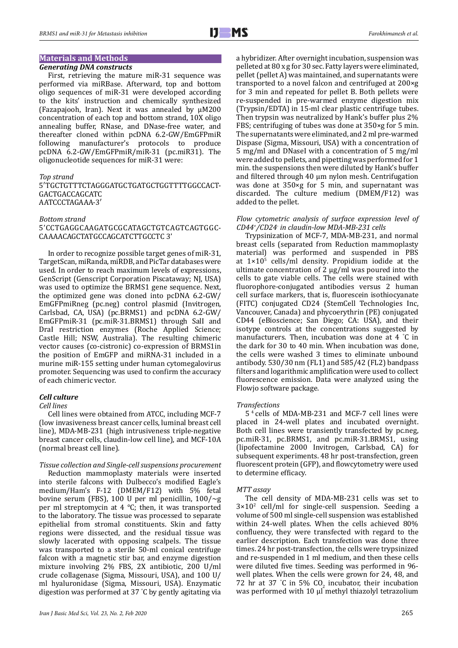# **Materials and Methods**

### *Generating DNA constructs*

First, retrieving the mature miR-31 sequence was performed via miRBase. Afterward, top and bottom oligo sequences of miR-31 were developed according to the kits' instruction and chemically synthesized (Fazapajooh, Iran). Next it was annealed by μM200 concentration of each top and bottom strand, 10X oligo annealing buffer, RNase, and DNase-free water, and thereafter cloned within pcDNA 6.2-GW/EmGFPmiR following manufacturer's protocols to produce pcDNA 6.2-GW/EmGFPmiR/miR-31 (pc.miR31). The oligonucleotide sequences for miR-31 were:

#### *Top strand*

5′TGCTGTTTCTAGGGATGCTGATGCTGGTTTTGGCCACT-GACTGACCAGCATC AATCCCTAGAAA-3′

#### *Bottom strand*

# 5'CCTGAGGCAAGATGCGCATAGCTGTCAGTCAGTGGC-CAAAACAGCTATGCCAGCATCTTGCCTC 3'

In order to recognize possible target genes of miR-31, TargetScan, miRanda, miRDB, and PicTar databases were used. In order to reach maximum levels of expressions, GenScript (Genscript Corporation Piscataway; NJ, USA) was used to optimize the BRMS1 gene sequence. Next, the optimized gene was cloned into pcDNA 6.2-GW/ EmGFPmiRneg (pc.neg) control plasmid (Invitrogen, Carlsbad, CA, USA) (pc.BRMS1) and pcDNA 6.2-GW/ EmGFPmiR-31 (pc.miR-31.BRMS1) through SalI and DraI restriction enzymes (Roche Applied Science; Castle Hill; NSW, Australia). The resulting chimeric vector causes (co-cistronic) co-expression of BRMS1in the position of EmGFP and miRNA-31 included in a murine miR-155 setting under human cytomegalovirus promoter. Sequencing was used to confirm the accuracy of each chimeric vector.

### *Cell culture*

#### *Cell lines*

Cell lines were obtained from ATCC, including MCF-7 (low invasiveness breast cancer cells, luminal breast cell line), MDA-MB-231 (high intrusiveness triple-negative breast cancer cells, claudin-low cell line), and MCF-10A (normal breast cell line).

#### *Tissue collection and Single-cell suspensions procurement*

Reduction mammoplasty materials were inserted into sterile falcons with Dulbecco's modified Eagle's medium/Ham's F-12 (DMEM/F12) with 5% fetal bovine serum (FBS), 100 U per ml penicillin,  $100/\sim g$ per ml streptomycin at 4 °C; then, it was transported to the laboratory. The tissue was processed to separate epithelial from stromal constituents. Skin and fatty regions were dissected, and the residual tissue was slowly lacerated with opposing scalpels. The tissue was transported to a sterile 50-ml conical centrifuge falcon with a magnetic stir bar, and enzyme digestion mixture involving 2% FBS, 2X antibiotic, 200 U/ml crude collagenase (Sigma, Missouri, USA), and 100 U/ ml hyaluronidase (Sigma, Missouri, USA). Enzymatic digestion was performed at 37 ° C by gently agitating via a hybridizer. After overnight incubation, suspension was pelleted at 80 x g for 30 sec. Fatty layers were eliminated, pellet (pellet A) was maintained, and supernatants were transported to a novel falcon and centrifuged at 200×g for 3 min and repeated for pellet B. Both pellets were re-suspended in pre-warmed enzyme digestion mix (Trypsin/EDTA) in 15-ml clear plastic centrifuge tubes. Then trypsin was neutralized by Hank's buffer plus 2% FBS; centrifuging of tubes was done at 350×g for 5 min. The supernatants were eliminated, and 2 ml pre-warmed Dispase (Sigma, Missouri, USA) with a concentration of 5 mg/ml and DNaseI with a concentration of 5 mg/ml were added to pellets, and pipetting was performed for 1 min. the suspensions then were diluted by Hank's buffer and filtered through 40 µm nylon mesh. Centrifugation was done at 350×g for 5 min, and supernatant was discarded. The culture medium (DMEM/F12) was added to the pellet.

### *Flow cytometric analysis of surface expression level of CD44+ /CD24- in claudin-low MDA-MB-231 cells*

Trypsinization of MCF-7, MDA-MB-231, and normal breast cells (separated from Reduction mammoplasty material) was performed and suspended in PBS at  $1 \times 10^5$  cells/ml density. Propidium iodide at the ultimate concentration of 2 μg/ml was poured into the cells to gate viable cells. The cells were stained with fluorophore-conjugated antibodies versus 2 human cell surface markers, that is, fluorescein isothiocyanate (FITC) conjugated CD24 (StemCell Technologies Inc, Vancouver, Canada) and phycoerythrin (PE) conjugated CD44 (eBioscience; San Diego; CA: USA), and their isotype controls at the concentrations suggested by manufacturers. Then, incubation was done at 4 ° C in the dark for 30 to 40 min. When incubation was done, the cells were washed 3 times to eliminate unbound antibody. 530/30 nm (FL1) and 585/42 (FL2) bandpass filters and logarithmic amplification were used to collect fluorescence emission. Data were analyzed using the Flowjo software package.

#### *Transfections*

5 4 cells of MDA-MB-231 and MCF-7 cell lines were placed in 24-well plates and incubated overnight. Both cell lines were transiently transfected by pc.neg, pc.miR-31, pc.BRMS1, and pc.miR-31.BRMS1, using (lipofectamine 2000 Invitrogen, Carlsbad, CA) for subsequent experiments. 48 hr post-transfection, green fluorescent protein (GFP), and flowcytometry were used to determine efficacy.

#### *MTT assay*

The cell density of MDA-MB-231 cells was set to  $3\times10^2$  cell/ml for single-cell suspension. Seeding a volume of 500 ml single-cell suspension was established within 24-well plates. When the cells achieved 80% confluency, they were transfected with regard to the earlier description. Each transfection was done three times. 24 hr post-transfection, the cells were trypsinized and re-suspended in 1 ml medium, and then these cells were diluted five times. Seeding was performed in 96 well plates. When the cells were grown for 24, 48, and 72 hr at 37 °C in 5%  $CO<sub>2</sub>$  incubator, their incubation was performed with 10 µl methyl thiazolyl tetrazolium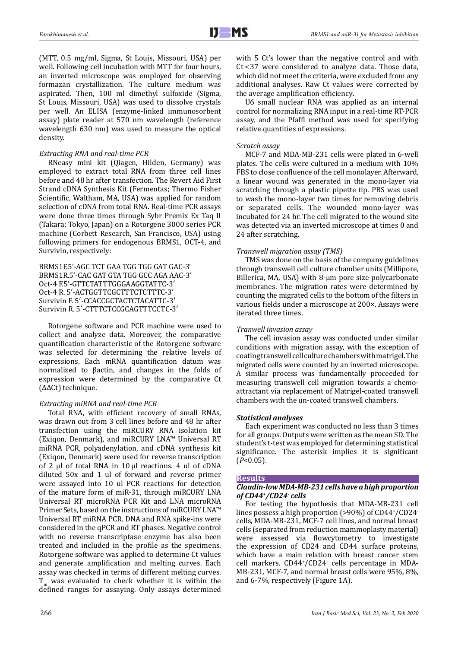(MTT, 0.5 mg/ml, Sigma, St Louis, Missouri, USA) per well. Following cell incubation with MTT for four hours, an inverted microscope was employed for observing formazan crystallization. The culture medium was aspirated. Then, 100 ml dimethyl sulfoxide (Sigma, St Louis, Missouri, USA) was used to dissolve crystals per well. An ELISA (enzyme-linked immunosorbent assay) plate reader at 570 nm wavelength (reference wavelength 630 nm) was used to measure the optical density.

# *Extracting RNA and real-time PCR*

RNeasy mini kit (Qiagen, Hilden, Germany) was employed to extract total RNA from three cell lines before and 48 hr after transfection. The Revert Aid First Strand cDNA Synthesis Kit (Fermentas; Thermo Fisher Scientific, Waltham, MA, USA) was applied for random selection of cDNA from total RNA. Real-time PCR assays were done three times through Sybr Premix Ex Taq II (Takara; Tokyo, Japan) on a Rotorgene 3000 series PCR machine (Corbett Research, San Francisco, USA) using following primers for endogenous BRMS1, OCT-4, and Survivin, respectively:

BRMS1F.5'-AGC TCT GAA TGG TGG GAT GAC-3' BRMS1R.5'-CAC GAT GTA TGG GCC AGA AAC-3' Oct-4 F.5'-GTTCTATTTGGGAAGGTATTC-3′ Oct-4 R. 5′-ACTGGTTCGCTTTCTCTTTC-3′ Survivin F. 5′-CCACCGCTACTCTACATTC-3′ Survivin R. 5′-CTTTCTCCGCAGTTTCCTC-3′

Rotorgene software and PCR machine were used to collect and analyze data. Moreover, the comparative quantification characteristic of the Rotorgene software was selected for determining the relative levels of expressions. Each mRNA quantification datum was normalized to βactin, and changes in the folds of expression were determined by the comparative Ct (ΔΔCt) technique.

# *Extracting miRNA and real-time PCR*

Total RNA, with efficient recovery of small RNAs, was drawn out from 3 cell lines before and 48 hr after transfection using the miRCURY RNA isolation kit (Exiqon, Denmark), and miRCURY LNA™ Universal RT miRNA PCR, polyadenylation, and cDNA synthesis kit (Exiqon, Denmark) were used for reverse transcription of 2 μl of total RNA in 10 μl reactions. 4 ul of cDNA diluted 50x and 1 ul of forward and reverse primer were assayed into 10 ul PCR reactions for detection of the mature form of miR-31, through miRCURY LNA Universal RT microRNA PCR Kit and LNA microRNA Primer Sets, based on the instructions of miRCURY LNA™ Universal RT miRNA PCR. DNA and RNA spike-ins were considered in the qPCR and RT phases. Negative control with no reverse transcriptase enzyme has also been treated and included in the profile as the specimens. Rotorgene software was applied to determine Ct values and generate amplification and melting curves. Each assay was checked in terms of different melting curves. T was evaluated to check whether it is within the defined ranges for assaying. Only assays determined

with 5 Ct's lower than the negative control and with Ct < 37 were considered to analyze data. Those data, which did not meet the criteria, were excluded from any additional analyses. Raw Ct values were corrected by the average amplification efficiency.

U6 small nuclear RNA was applied as an internal control for normalizing RNA input in a real-time RT-PCR assay, and the Pfaffl method was used for specifying relative quantities of expressions.

## *Scratch assay*

MCF-7 and MDA-MB-231 cells were plated in 6-well plates. The cells were cultured in a medium with 10% FBS to close confluence of the cell monolayer. Afterward, a linear wound was generated in the mono-layer via scratching through a plastic pipette tip. PBS was used to wash the mono-layer two times for removing debris or separated cells. The wounded mono-layer was incubated for 24 hr. The cell migrated to the wound site was detected via an inverted microscope at times 0 and 24 after scratching.

# *Transwell migration assay (TMS)*

TMS was done on the basis of the company guidelines through transwell cell culture chamber units (Millipore, Billerica, MA, USA) with 8-μm pore size polycarbonate membranes. The migration rates were determined by counting the migrated cells to the bottom of the filters in various fields under a microscope at 200×. Assays were iterated three times.

# *Tranwell invasion assay*

The cell invasion assay was conducted under similar conditions with migration assay, with the exception of coating transwell cell culture chambers with matrigel. The migrated cells were counted by an inverted microscope. A similar process was fundamentally proceeded for measuring transwell cell migration towards a chemoattractant via replacement of Matrigel-coated transwell chambers with the un-coated transwell chambers.

## *Statistical analyses*

Each experiment was conducted no less than 3 times for all groups. Outputs were written as the mean SD. The student's t-test was employed for determining statistical significance. The asterisk implies it is significant (*P*<0.05).

## **Results**

# *Claudin-low MDA-MB-231 cells have a high proportion of CD44+/CD24- cells*

For testing the hypothesis that MDA-MB-231 cell lines possess a high proportion (>90%) of CD44<sup>+</sup> /CD24 cells, MDA-MB-231, MCF-7 cell lines, and normal breast cells (separated from reduction mammoplasty material) were assessed via flowcytometry to investigate the expression of CD24 and CD44 surface proteins, which have a main relation with breast cancer stem cell markers. CD44+ /CD24- cells percentage in MDA-MB-231, MCF-7, and normal breast cells were 95%, 8%, and 6-7%, respectively (Figure 1A).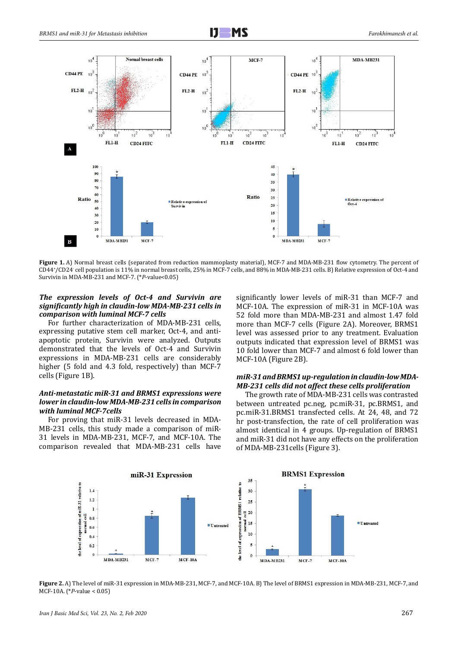



**Figure 1.** A) Normal breast cells (separated from reduction mammoplasty material), MCF-7 and MDA-MB-231 flow cytometry. The percent of CD44+ /CD24- cell population is 11% in normal breast cells, 25% in MCF-7 cells, and 88% in MDA-MB-231 cells. B) Relative expression of Oct-4 and Survivin in MDA-MB-231 and MCF-7. (\**P*-value<0.05)

## *The expression levels of Oct-4 and Survivin are significantly high in claudin-low MDA-MB-231 cells in comparison with luminal MCF-7 cells*

For further characterization of MDA-MB-231 cells, expressing putative stem cell marker, Oct-4, and antiapoptotic protein, Survivin were analyzed. Outputs demonstrated that the levels of Oct-4 and Survivin expressions in MDA-MB-231 cells are considerably higher (5 fold and 4.3 fold, respectively) than MCF-7 cells (Figure 1B).

# *Anti-metastatic miR-31 and BRMS1 expressions were lower in claudin-low MDA-MB-231 cells in comparison with luminal MCF-7cells*

For proving that miR-31 levels decreased in MDA-MB-231 cells, this study made a comparison of miR-31 levels in MDA-MB-231, MCF-7, and MCF-10A. The comparison revealed that MDA-MB-231 cells have significantly lower levels of miR-31 than MCF-7 and MCF-10A. The expression of miR-31 in MCF-10A was 52 fold more than MDA-MB-231 and almost 1.47 fold more than MCF-7 cells (Figure 2A). Moreover, BRMS1 level was assessed prior to any treatment. Evaluation outputs indicated that expression level of BRMS1 was 10 fold lower than MCF-7 and almost 6 fold lower than MCF-10A (Figure 2B).

## *miR-31 and BRMS1 up-regulation in claudin-low MDA-MB-231 cells did not affect these cells proliferation*

The growth rate of MDA-MB-231 cells was contrasted between untreated pc.neg, pc.miR-31, pc.BRMS1, and pc.miR-31.BRMS1 transfected cells. At 24, 48, and 72 hr post-transfection, the rate of cell proliferation was almost identical in 4 groups. Up-regulation of BRMS1 and miR-31 did not have any effects on the proliferation of MDA-MB-231cells (Figure 3).



**Figure 2.** A) The level of miR-31 expression in MDA-MB-231, MCF-7, and MCF-10A. B) The level of BRMS1 expression in MDA-MB-231, MCF-7, and MCF-10A. (\**P*-value < 0.05)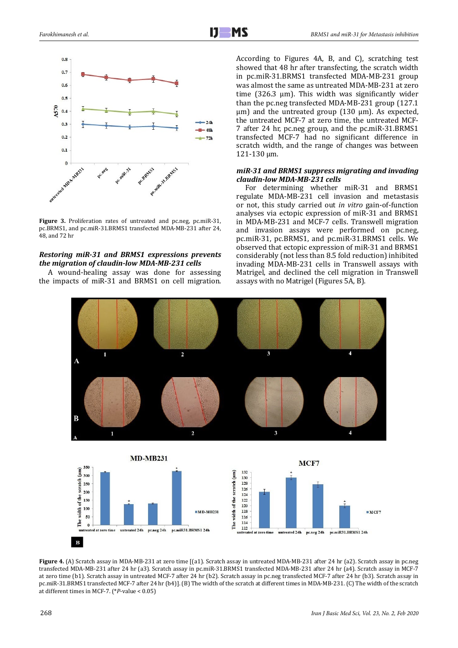

**Figure 3.** Proliferation rates of untreated and pc.neg, pc.miR-31, pc.BRMS1, and pc.miR-31.BRMS1 transfected MDA-MB-231 after 24, 48, and 72 hr

# *Restoring miR-31 and BRMS1 expressions prevents the migration of claudin-low MDA-MB-231 cells*

A wound-healing assay was done for assessing the impacts of miR-31 and BRMS1 on cell migration. According to Figures 4A, B, and C), scratching test showed that 48 hr after transfecting, the scratch width in pc.miR-31.BRMS1 transfected MDA-MB-231 group was almost the same as untreated MDA-MB-231 at zero time (326.3 µm). This width was significantly wider than the pc.neg transfected MDA-MB-231 group (127.1  $\mu$ m) and the untreated group (130  $\mu$ m). As expected, the untreated MCF-7 at zero time, the untreated MCF-7 after 24 hr, pc.neg group, and the pc.miR-31.BRMS1 transfected MCF-7 had no significant difference in scratch width, and the range of changes was between 121-130 µm.

## *miR-31 and BRMS1 suppress migrating and invading claudin-low MDA-MB-231 cells*

For determining whether miR-31 and BRMS1 regulate MDA-MB-231 cell invasion and metastasis or not, this study carried out *in vitro* gain-of-function analyses via ectopic expression of miR-31 and BRMS1 in MDA-MB-231 and MCF-7 cells. Transwell migration and invasion assays were performed on pc.neg, pc.miR-31, pc.BRMS1, and pc.miR-31.BRMS1 cells. We observed that ectopic expression of miR-31 and BRMS1 considerably (not less than 8.5 fold reduction) inhibited invading MDA-MB-231 cells in Transwell assays with Matrigel, and declined the cell migration in Transwell assays with no Matrigel (Figures 5A, B).



**Figure 4.** (A) Scratch assay in MDA-MB-231 at zero time [(a1). Scratch assay in untreated MDA-MB-231 after 24 hr (a2). Scratch assay in pc.neg transfected MDA-MB-231 after 24 hr (a3). Scratch assay in pc.miR-31.BRMS1 transfected MDA-MB-231 after 24 hr (a4). Scratch assay in MCF-7 at zero time (b1). Scratch assay in untreated MCF-7 after 24 hr (b2). Scratch assay in pc.neg transfected MCF-7 after 24 hr (b3). Scratch assay in pc.miR-31.BRMS1 transfected MCF-7 after 24 hr (b4)]. (B) The width of the scratch at different times in MDA-MB-231. (C) The width of the scratch at different times in MCF-7. (\**P*-value < 0.05)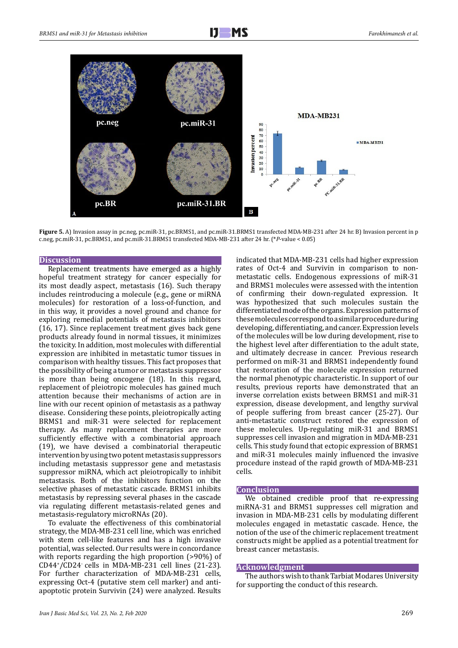

Figure 5. A) Invasion assay in pc.neg, pc.miR-31, pc.BRMS1, and pc.miR-31.BRMS1 transfected MDA-MB-231 after 24 hr. B) Invasion percent in p c.neg, pc.miR-31, pc.BRMS1, and pc.miR-31.BRMS1 transfected MDA-MB-231 after 24 hr. (\**P*-value < 0.05)

#### **Discussion**

Replacement treatments have emerged as a highly hopeful treatment strategy for cancer especially for its most deadly aspect, metastasis (16). Such therapy includes reintroducing a molecule (e.g., gene or miRNA molecules) for restoration of a loss-of-function, and in this way, it provides a novel ground and chance for exploring remedial potentials of metastasis inhibitors (16, 17). Since replacement treatment gives back gene products already found in normal tissues, it minimizes the toxicity. In addition, most molecules with differential expression are inhibited in metastatic tumor tissues in comparison with healthy tissues. This fact proposes that the possibility of being a tumor or metastasis suppressor is more than being oncogene (18). In this regard, replacement of pleiotropic molecules has gained much attention because their mechanisms of action are in line with our recent opinion of metastasis as a pathway disease. Considering these points, pleiotropically acting BRMS1 and miR-31 were selected for replacement therapy. As many replacement therapies are more sufficiently effective with a combinatorial approach (19), we have devised a combinatorial therapeutic intervention by using two potent metastasis suppressors including metastasis suppressor gene and metastasis suppressor miRNA, which act pleiotropically to inhibit metastasis. Both of the inhibitors function on the selective phases of metastatic cascade. BRMS1 inhibits metastasis by repressing several phases in the cascade via regulating different metastasis-related genes and metastasis-regulatory microRNAs (20).

To evaluate the effectiveness of this combinatorial strategy, the MDA-MB-231 cell line, which was enriched with stem cell-like features and has a high invasive potential, was selected. Our results were in concordance with reports regarding the high proportion (>90%) of CD44+ /CD24- cells in MDA-MB-231 cell lines (21-23). For further characterization of MDA-MB-231 cells, expressing Oct-4 (putative stem cell marker) and antiapoptotic protein Survivin (24) were analyzed. Results

*Iran J Basic Med Sci, Vol. 23, No. 2, Feb 2020* 269

indicated that MDA-MB-231 cells had higher expression rates of Oct-4 and Survivin in comparison to nonmetastatic cells. Endogenous expressions of miR-31 and BRMS1 molecules were assessed with the intention of confirming their down-regulated expression. It was hypothesized that such molecules sustain the differentiated mode of the organs. Expression patterns of these molecules correspond to a similar procedure during developing, differentiating, and cancer. Expression levels of the molecules will be low during development, rise to the highest level after differentiation to the adult state, and ultimately decrease in cancer. Previous research performed on miR-31 and BRMS1 independently found that restoration of the molecule expression returned the normal phenotypic characteristic. In support of our results, previous reports have demonstrated that an inverse correlation exists between BRMS1 and miR-31 expression, disease development, and lengthy survival of people suffering from breast cancer (25-27). Our anti-metastatic construct restored the expression of these molecules. Up-regulating miR-31 and BRMS1 suppresses cell invasion and migration in MDA-MB-231 cells. This study found that ectopic expression of BRMS1 and miR-31 molecules mainly influenced the invasive procedure instead of the rapid growth of MDA-MB-231 cells.

#### **Conclusion**

We obtained credible proof that re-expressing miRNA-31 and BRMS1 suppresses cell migration and invasion in MDA-MB-231 cells by modulating different molecules engaged in metastatic cascade. Hence, the notion of the use of the chimeric replacement treatment constructs might be applied as a potential treatment for breast cancer metastasis.

#### **Acknowledgment**

The authors wish to thank Tarbiat Modares University for supporting the conduct of this research.